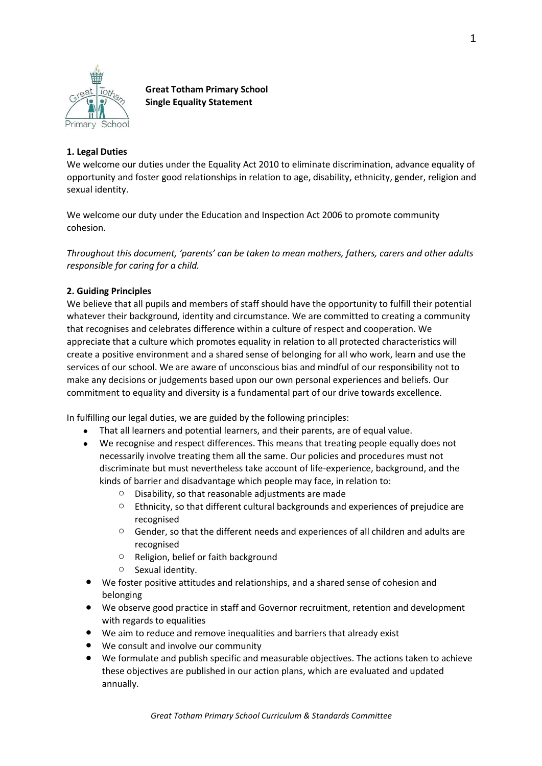

**Great Totham Primary School Single Equality Statement**

## **1. Legal Duties**

We welcome our duties under the Equality Act 2010 to eliminate discrimination, advance equality of opportunity and foster good relationships in relation to age, disability, ethnicity, gender, religion and sexual identity.

We welcome our duty under the Education and Inspection Act 2006 to promote community cohesion.

*Throughout this document, 'parents' can be taken to mean mothers, fathers, carers and other adults responsible for caring for a child.* 

## **2. Guiding Principles**

We believe that all pupils and members of staff should have the opportunity to fulfill their potential whatever their background, identity and circumstance. We are committed to creating a community that recognises and celebrates difference within a culture of respect and cooperation. We appreciate that a culture which promotes equality in relation to all protected characteristics will create a positive environment and a shared sense of belonging for all who work, learn and use the services of our school. We are aware of unconscious bias and mindful of our responsibility not to make any decisions or judgements based upon our own personal experiences and beliefs. Our commitment to equality and diversity is a fundamental part of our drive towards excellence.

In fulfilling our legal duties, we are guided by the following principles:

- That all learners and potential learners, and their parents, are of equal value.
- We recognise and respect differences. This means that treating people equally does not necessarily involve treating them all the same. Our policies and procedures must not discriminate but must nevertheless take account of life-experience, background, and the kinds of barrier and disadvantage which people may face, in relation to:
	- o Disability, so that reasonable adjustments are made
	- $\circ$  Ethnicity, so that different cultural backgrounds and experiences of prejudice are recognised
	- $\circ$  Gender, so that the different needs and experiences of all children and adults are recognised
	- o Religion, belief or faith background
	- o Sexual identity.
- We foster positive attitudes and relationships, and a shared sense of cohesion and belonging
- We observe good practice in staff and Governor recruitment, retention and development with regards to equalities
- We aim to reduce and remove inequalities and barriers that already exist
- We consult and involve our community
- We formulate and publish specific and measurable objectives. The actions taken to achieve these objectives are published in our action plans, which are evaluated and updated annually.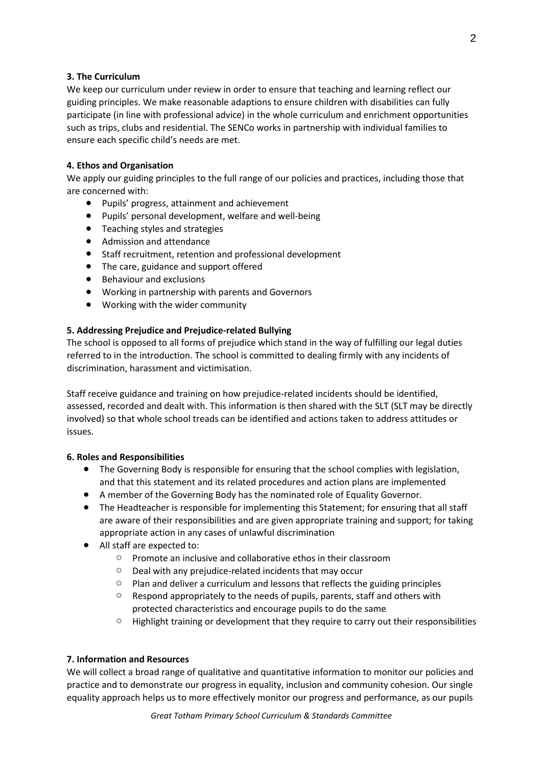## **3. The Curriculum**

We keep our curriculum under review in order to ensure that teaching and learning reflect our guiding principles. We make reasonable adaptions to ensure children with disabilities can fully participate (in line with professional advice) in the whole curriculum and enrichment opportunities such as trips, clubs and residential. The SENCo works in partnership with individual families to ensure each specific child's needs are met.

## **4. Ethos and Organisation**

We apply our guiding principles to the full range of our policies and practices, including those that are concerned with:

- Pupils' progress, attainment and achievement
- Pupils' personal development, welfare and well-being
- Teaching styles and strategies
- Admission and attendance
- Staff recruitment, retention and professional development
- The care, guidance and support offered
- Behaviour and exclusions
- Working in partnership with parents and Governors
- Working with the wider community

## **5. Addressing Prejudice and Prejudice-related Bullying**

The school is opposed to all forms of prejudice which stand in the way of fulfilling our legal duties referred to in the introduction. The school is committed to dealing firmly with any incidents of discrimination, harassment and victimisation.

Staff receive guidance and training on how prejudice-related incidents should be identified, assessed, recorded and dealt with. This information is then shared with the SLT (SLT may be directly involved) so that whole school treads can be identified and actions taken to address attitudes or issues.

## **6. Roles and Responsibilities**

- The Governing Body is responsible for ensuring that the school complies with legislation, and that this statement and its related procedures and action plans are implemented
- A member of the Governing Body has the nominated role of Equality Governor.
- The Headteacher is responsible for implementing this Statement; for ensuring that all staff are aware of their responsibilities and are given appropriate training and support; for taking appropriate action in any cases of unlawful discrimination
- All staff are expected to:
	- o Promote an inclusive and collaborative ethos in their classroom
	- o Deal with any prejudice-related incidents that may occur
	- $\circ$  Plan and deliver a curriculum and lessons that reflects the guiding principles
	- o Respond appropriately to the needs of pupils, parents, staff and others with protected characteristics and encourage pupils to do the same
	- o Highlight training or development that they require to carry out their responsibilities

## **7. Information and Resources**

We will collect a broad range of qualitative and quantitative information to monitor our policies and practice and to demonstrate our progress in equality, inclusion and community cohesion. Our single equality approach helps us to more effectively monitor our progress and performance, as our pupils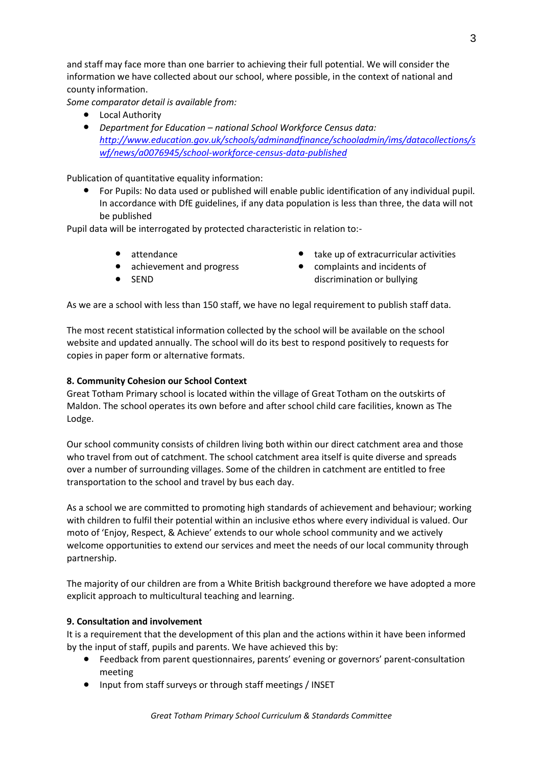and staff may face more than one barrier to achieving their full potential. We will consider the information we have collected about our school, where possible, in the context of national and county information.

*Some comparator detail is available from:*

- Local Authority
- *Department for Education – national School Workforce Census data: [http://www.education.gov.uk/schools/adminandfinance/schooladmin/ims/datacollections/s](http://www.education.gov.uk/schools/adminandfinance/schooladmin/ims/datacollections/swf/news/a0076945/school-workforce-census-data-published) [wf/news/a0076945/school-workforce-census-data-published](http://www.education.gov.uk/schools/adminandfinance/schooladmin/ims/datacollections/swf/news/a0076945/school-workforce-census-data-published)*

Publication of quantitative equality information:

For Pupils: No data used or published will enable public identification of any individual pupil. In accordance with DfE guidelines, if any data population is less than three, the data will not be published

Pupil data will be interrogated by protected characteristic in relation to:-

- attendance
- achievement and progress
- **SEND**
- take up of extracurricular activities
- complaints and incidents of discrimination or bullying

As we are a school with less than 150 staff, we have no legal requirement to publish staff data.

The most recent statistical information collected by the school will be available on the school website and updated annually. The school will do its best to respond positively to requests for copies in paper form or alternative formats.

# **8. Community Cohesion our School Context**

Great Totham Primary school is located within the village of Great Totham on the outskirts of Maldon. The school operates its own before and after school child care facilities, known as The Lodge.

Our school community consists of children living both within our direct catchment area and those who travel from out of catchment. The school catchment area itself is quite diverse and spreads over a number of surrounding villages. Some of the children in catchment are entitled to free transportation to the school and travel by bus each day.

As a school we are committed to promoting high standards of achievement and behaviour; working with children to fulfil their potential within an inclusive ethos where every individual is valued. Our moto of 'Enjoy, Respect, & Achieve' extends to our whole school community and we actively welcome opportunities to extend our services and meet the needs of our local community through partnership.

The majority of our children are from a White British background therefore we have adopted a more explicit approach to multicultural teaching and learning.

## **9. Consultation and involvement**

It is a requirement that the development of this plan and the actions within it have been informed by the input of staff, pupils and parents. We have achieved this by:

- Feedback from parent questionnaires, parents' evening or governors' parent-consultation meeting
- Input from staff surveys or through staff meetings / INSET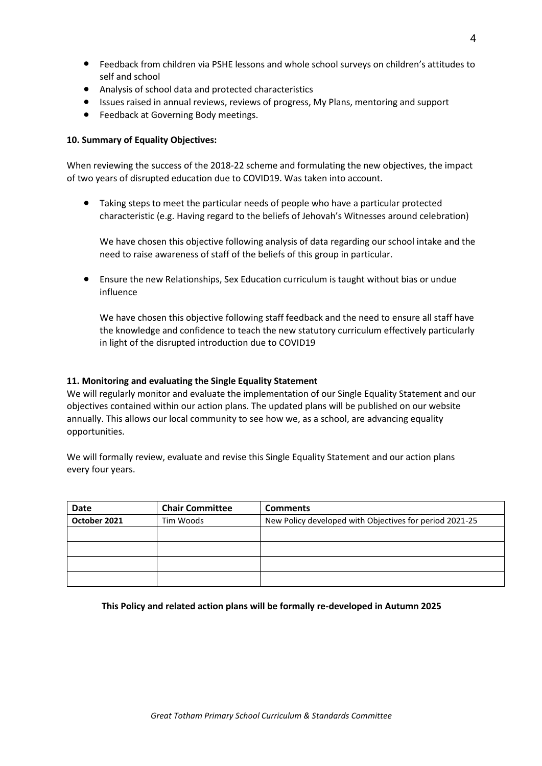- Feedback from children via PSHE lessons and whole school surveys on children's attitudes to self and school
- Analysis of school data and protected characteristics
- Issues raised in annual reviews, reviews of progress, My Plans, mentoring and support
- Feedback at Governing Body meetings.

## **10. Summary of Equality Objectives:**

When reviewing the success of the 2018-22 scheme and formulating the new objectives, the impact of two years of disrupted education due to COVID19. Was taken into account.

Taking steps to meet the particular needs of people who have a particular protected characteristic (e.g. Having regard to the beliefs of Jehovah's Witnesses around celebration)

We have chosen this objective following analysis of data regarding our school intake and the need to raise awareness of staff of the beliefs of this group in particular.

● Ensure the new Relationships, Sex Education curriculum is taught without bias or undue influence

We have chosen this objective following staff feedback and the need to ensure all staff have the knowledge and confidence to teach the new statutory curriculum effectively particularly in light of the disrupted introduction due to COVID19

## **11. Monitoring and evaluating the Single Equality Statement**

We will regularly monitor and evaluate the implementation of our Single Equality Statement and our objectives contained within our action plans. The updated plans will be published on our website annually. This allows our local community to see how we, as a school, are advancing equality opportunities.

We will formally review, evaluate and revise this Single Equality Statement and our action plans every four years.

| <b>Date</b>               | <b>Chair Committee</b> | <b>Comments</b>                                         |
|---------------------------|------------------------|---------------------------------------------------------|
| October 2021<br>Tim Woods |                        | New Policy developed with Objectives for period 2021-25 |
|                           |                        |                                                         |
|                           |                        |                                                         |
|                           |                        |                                                         |
|                           |                        |                                                         |

#### **This Policy and related action plans will be formally re-developed in Autumn 2025**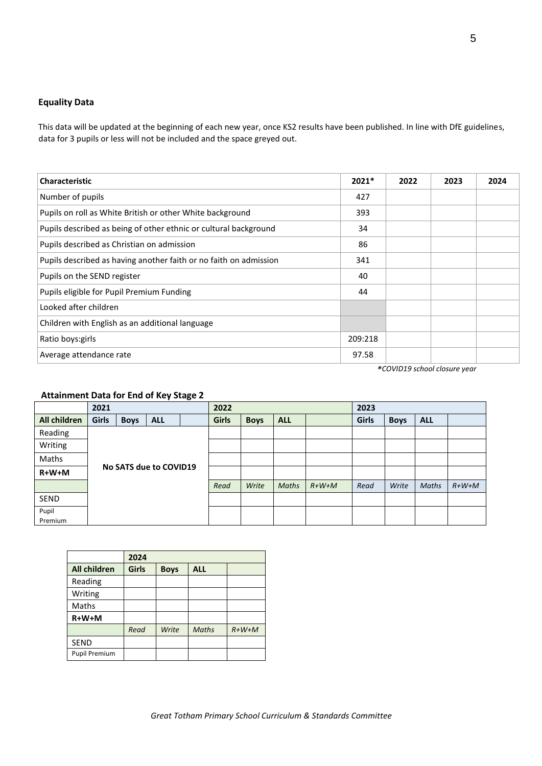## **Equality Data**

This data will be updated at the beginning of each new year, once KS2 results have been published. In line with DfE guidelines, data for 3 pupils or less will not be included and the space greyed out.

| <b>Characteristic</b>                                             | $2021*$ | 2022 | 2023 | 2024 |
|-------------------------------------------------------------------|---------|------|------|------|
| Number of pupils                                                  | 427     |      |      |      |
| Pupils on roll as White British or other White background         | 393     |      |      |      |
| Pupils described as being of other ethnic or cultural background  | 34      |      |      |      |
| Pupils described as Christian on admission                        | 86      |      |      |      |
| Pupils described as having another faith or no faith on admission | 341     |      |      |      |
| Pupils on the SEND register                                       | 40      |      |      |      |
| Pupils eligible for Pupil Premium Funding                         | 44      |      |      |      |
| Looked after children                                             |         |      |      |      |
| Children with English as an additional language                   |         |      |      |      |
| Ratio boys: girls                                                 | 209:218 |      |      |      |
| Average attendance rate                                           | 97.58   |      |      |      |

*\*COVID19 school closure year*

## **Attainment Data for End of Key Stage 2**

|              | 2021                   |             |            | 2022 |       |              |            | 2023 |       |             |            |  |
|--------------|------------------------|-------------|------------|------|-------|--------------|------------|------|-------|-------------|------------|--|
| All children | Girls                  | <b>Boys</b> | <b>ALL</b> |      | Girls | <b>Boys</b>  | <b>ALL</b> |      | Girls | <b>Boys</b> | <b>ALL</b> |  |
| Reading      |                        |             |            |      |       |              |            |      |       |             |            |  |
| Writing      | No SATS due to COVID19 |             |            |      |       |              |            |      |       |             |            |  |
| Maths        |                        |             |            |      |       |              |            |      |       |             |            |  |
| $R+W+M$      |                        |             |            |      |       |              |            |      |       |             |            |  |
|              |                        |             |            | Read | Write | <b>Maths</b> | $R+W+M$    | Read | Write | Maths       | $R+W+M$    |  |
| SEND         |                        |             |            |      |       |              |            |      |       |             |            |  |
| Pupil        |                        |             |            |      |       |              |            |      |       |             |            |  |
| Premium      |                        |             |            |      |       |              |            |      |       |             |            |  |

|                      | 2024         |             |              |         |  |  |  |
|----------------------|--------------|-------------|--------------|---------|--|--|--|
| <b>All children</b>  | <b>Girls</b> | <b>Boys</b> | <b>ALL</b>   |         |  |  |  |
| Reading              |              |             |              |         |  |  |  |
| Writing              |              |             |              |         |  |  |  |
| Maths                |              |             |              |         |  |  |  |
| $R+W+M$              |              |             |              |         |  |  |  |
|                      | Read         | Write       | <b>Maths</b> | $R+W+M$ |  |  |  |
| <b>SEND</b>          |              |             |              |         |  |  |  |
| <b>Pupil Premium</b> |              |             |              |         |  |  |  |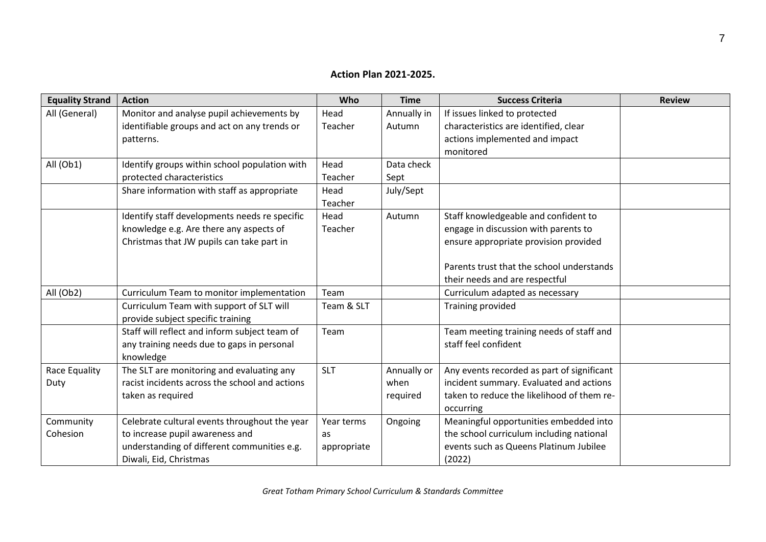# **Action Plan 2021-2025.**

| <b>Equality Strand</b> | <b>Action</b>                                  | Who         | <b>Time</b> | <b>Success Criteria</b>                    | <b>Review</b> |
|------------------------|------------------------------------------------|-------------|-------------|--------------------------------------------|---------------|
| All (General)          | Monitor and analyse pupil achievements by      | Head        | Annually in | If issues linked to protected              |               |
|                        | identifiable groups and act on any trends or   | Teacher     | Autumn      | characteristics are identified, clear      |               |
|                        | patterns.                                      |             |             | actions implemented and impact             |               |
|                        |                                                |             |             | monitored                                  |               |
| All (Ob1)              | Identify groups within school population with  | Head        | Data check  |                                            |               |
|                        | protected characteristics                      | Teacher     | Sept        |                                            |               |
|                        | Share information with staff as appropriate    | Head        | July/Sept   |                                            |               |
|                        |                                                | Teacher     |             |                                            |               |
|                        | Identify staff developments needs re specific  | Head        | Autumn      | Staff knowledgeable and confident to       |               |
|                        | knowledge e.g. Are there any aspects of        | Teacher     |             | engage in discussion with parents to       |               |
|                        | Christmas that JW pupils can take part in      |             |             | ensure appropriate provision provided      |               |
|                        |                                                |             |             |                                            |               |
|                        |                                                |             |             | Parents trust that the school understands  |               |
|                        |                                                |             |             | their needs and are respectful             |               |
| All (Ob2)              | Curriculum Team to monitor implementation      | Team        |             | Curriculum adapted as necessary            |               |
|                        | Curriculum Team with support of SLT will       | Team & SLT  |             | Training provided                          |               |
|                        | provide subject specific training              |             |             |                                            |               |
|                        | Staff will reflect and inform subject team of  | Team        |             | Team meeting training needs of staff and   |               |
|                        | any training needs due to gaps in personal     |             |             | staff feel confident                       |               |
|                        | knowledge                                      |             |             |                                            |               |
| Race Equality          | The SLT are monitoring and evaluating any      | <b>SLT</b>  | Annually or | Any events recorded as part of significant |               |
| Duty                   | racist incidents across the school and actions |             | when        | incident summary. Evaluated and actions    |               |
|                        | taken as required                              |             | required    | taken to reduce the likelihood of them re- |               |
|                        |                                                |             |             | occurring                                  |               |
| Community              | Celebrate cultural events throughout the year  | Year terms  | Ongoing     | Meaningful opportunities embedded into     |               |
| Cohesion               | to increase pupil awareness and                | as          |             | the school curriculum including national   |               |
|                        | understanding of different communities e.g.    | appropriate |             | events such as Queens Platinum Jubilee     |               |
|                        | Diwali, Eid, Christmas                         |             |             | (2022)                                     |               |